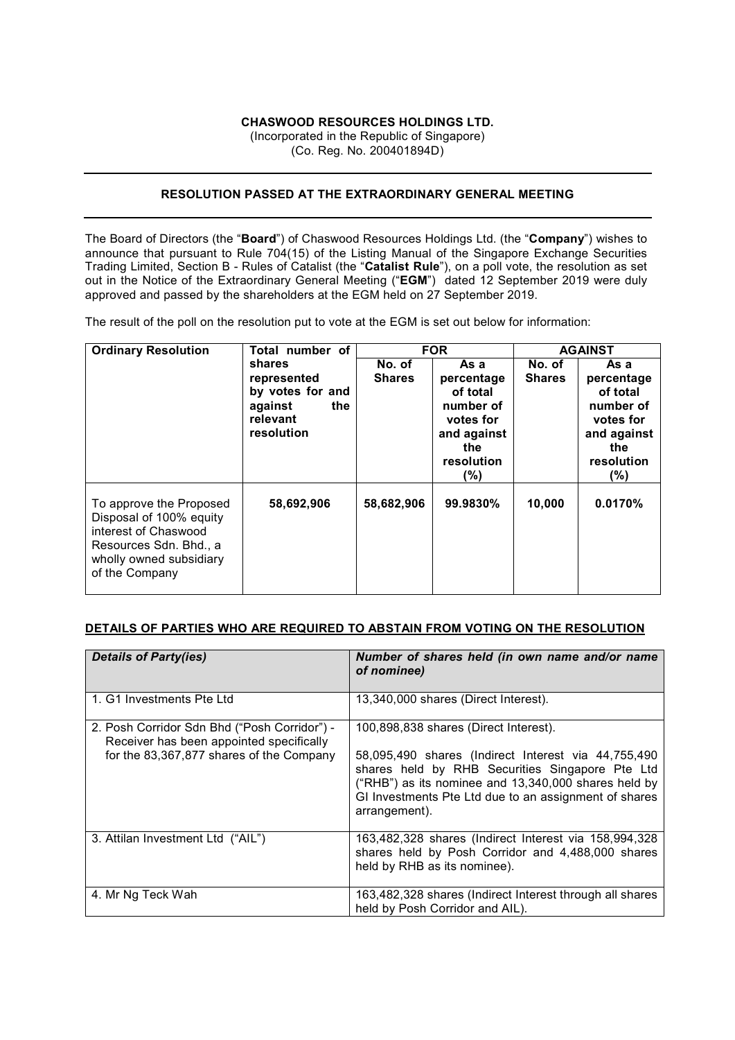## **CHASWOOD RESOURCES HOLDINGS LTD.**

(Incorporated in the Republic of Singapore)

(Co. Reg. No. 200401894D)

## **RESOLUTION PASSED AT THE EXTRAORDINARY GENERAL MEETING**

The Board of Directors (the "**Board**") of Chaswood Resources Holdings Ltd. (the "**Company**") wishes to announce that pursuant to Rule 704(15) of the Listing Manual of the Singapore Exchange Securities Trading Limited, Section B - Rules of Catalist (the "**Catalist Rule**"), on a poll vote, the resolution as set out in the Notice of the Extraordinary General Meeting ("**EGM**") dated 12 September 2019 were duly approved and passed by the shareholders at the EGM held on 27 September 2019.

The result of the poll on the resolution put to vote at the EGM is set out below for information:

| <b>Ordinary Resolution</b>                                                                                                                        | Total number of                                                             | <b>FOR</b>    |                                                                                                 | <b>AGAINST</b> |                                                                                                 |
|---------------------------------------------------------------------------------------------------------------------------------------------------|-----------------------------------------------------------------------------|---------------|-------------------------------------------------------------------------------------------------|----------------|-------------------------------------------------------------------------------------------------|
|                                                                                                                                                   | shares                                                                      | No. of        | As a                                                                                            | No. of         | As a                                                                                            |
|                                                                                                                                                   | represented<br>by votes for and<br>against<br>the<br>relevant<br>resolution | <b>Shares</b> | percentage<br>of total<br>number of<br>votes for<br>and against<br>the<br>resolution<br>$(\% )$ | <b>Shares</b>  | percentage<br>of total<br>number of<br>votes for<br>and against<br>the<br>resolution<br>$(\% )$ |
| To approve the Proposed<br>Disposal of 100% equity<br>interest of Chaswood<br>Resources Sdn. Bhd., a<br>wholly owned subsidiary<br>of the Company | 58,692,906                                                                  | 58,682,906    | 99.9830%                                                                                        | 10,000         | 0.0170%                                                                                         |

## **DETAILS OF PARTIES WHO ARE REQUIRED TO ABSTAIN FROM VOTING ON THE RESOLUTION**

| <b>Details of Party(ies)</b>                                                             | Number of shares held (in own name and/or name<br>of nominee)                                                                                                                                                                            |  |  |  |  |
|------------------------------------------------------------------------------------------|------------------------------------------------------------------------------------------------------------------------------------------------------------------------------------------------------------------------------------------|--|--|--|--|
| 1. G1 Investments Pte Ltd                                                                | 13,340,000 shares (Direct Interest).                                                                                                                                                                                                     |  |  |  |  |
| 2. Posh Corridor Sdn Bhd ("Posh Corridor") -<br>Receiver has been appointed specifically | 100,898,838 shares (Direct Interest).                                                                                                                                                                                                    |  |  |  |  |
| for the 83,367,877 shares of the Company                                                 | 58,095,490 shares (Indirect Interest via 44,755,490<br>shares held by RHB Securities Singapore Pte Ltd<br>("RHB") as its nominee and 13,340,000 shares held by<br>GI Investments Pte Ltd due to an assignment of shares<br>arrangement). |  |  |  |  |
| 3. Attilan Investment Ltd ("AIL")                                                        | 163,482,328 shares (Indirect Interest via 158,994,328<br>shares held by Posh Corridor and 4,488,000 shares<br>held by RHB as its nominee).                                                                                               |  |  |  |  |
| 4. Mr Ng Teck Wah                                                                        | 163,482,328 shares (Indirect Interest through all shares<br>held by Posh Corridor and AIL).                                                                                                                                              |  |  |  |  |